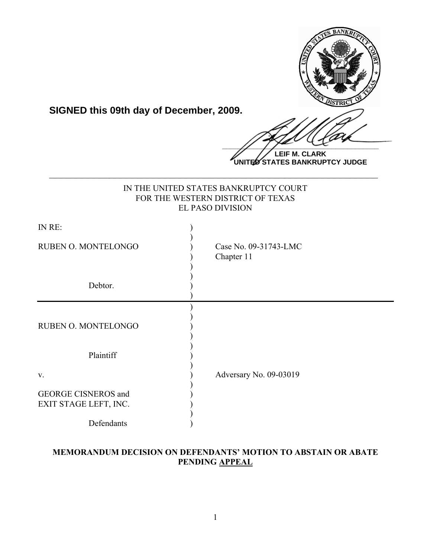

**SIGNED this 09th day of December, 2009.**

 $\frac{1}{2}$ 

**LEIF M. CLARK UNITED STATES BANKRUPTCY JUDGE**

| IN THE UNITED STATES BANKRUPTCY COURT<br>FOR THE WESTERN DISTRICT OF TEXAS<br><b>EL PASO DIVISION</b> |                                     |
|-------------------------------------------------------------------------------------------------------|-------------------------------------|
| IN RE:                                                                                                |                                     |
| RUBEN O. MONTELONGO                                                                                   | Case No. 09-31743-LMC<br>Chapter 11 |
| Debtor.                                                                                               |                                     |
| RUBEN O. MONTELONGO                                                                                   |                                     |
| Plaintiff                                                                                             |                                     |
| V.                                                                                                    | Adversary No. 09-03019              |
| <b>GEORGE CISNEROS and</b><br>EXIT STAGE LEFT, INC.                                                   |                                     |
| Defendants                                                                                            |                                     |

**\_\_\_\_\_\_\_\_\_\_\_\_\_\_\_\_\_\_\_\_\_\_\_\_\_\_\_\_\_\_\_\_\_\_\_\_\_\_\_\_\_\_\_\_\_\_\_\_\_\_\_\_\_\_\_\_\_\_\_\_**

## **MEMORANDUM DECISION ON DEFENDANTS' MOTION TO ABSTAIN OR ABATE PENDING APPEAL**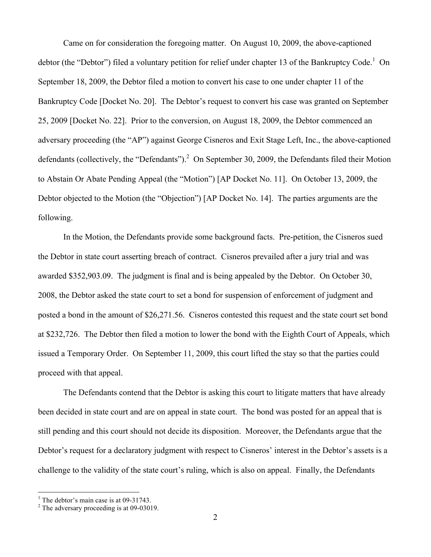Came on for consideration the foregoing matter. On August 10, 2009, the above-captioned debtor (the "Debtor") filed a voluntary petition for relief under chapter 13 of the Bankruptcy Code.<sup>1</sup> On September 18, 2009, the Debtor filed a motion to convert his case to one under chapter 11 of the Bankruptcy Code [Docket No. 20]. The Debtor's request to convert his case was granted on September 25, 2009 [Docket No. 22]. Prior to the conversion, on August 18, 2009, the Debtor commenced an adversary proceeding (the "AP") against George Cisneros and Exit Stage Left, Inc., the above-captioned defendants (collectively, the "Defendants").<sup>2</sup> On September 30, 2009, the Defendants filed their Motion to Abstain Or Abate Pending Appeal (the "Motion") [AP Docket No. 11]. On October 13, 2009, the Debtor objected to the Motion (the "Objection") [AP Docket No. 14]. The parties arguments are the following.

In the Motion, the Defendants provide some background facts. Pre-petition, the Cisneros sued the Debtor in state court asserting breach of contract. Cisneros prevailed after a jury trial and was awarded \$352,903.09. The judgment is final and is being appealed by the Debtor. On October 30, 2008, the Debtor asked the state court to set a bond for suspension of enforcement of judgment and posted a bond in the amount of \$26,271.56. Cisneros contested this request and the state court set bond at \$232,726. The Debtor then filed a motion to lower the bond with the Eighth Court of Appeals, which issued a Temporary Order. On September 11, 2009, this court lifted the stay so that the parties could proceed with that appeal.

The Defendants contend that the Debtor is asking this court to litigate matters that have already been decided in state court and are on appeal in state court. The bond was posted for an appeal that is still pending and this court should not decide its disposition. Moreover, the Defendants argue that the Debtor's request for a declaratory judgment with respect to Cisneros' interest in the Debtor's assets is a challenge to the validity of the state court's ruling, which is also on appeal. Finally, the Defendants

 $\frac{1}{1}$ 

<sup>&</sup>lt;sup>1</sup> The debtor's main case is at 09-31743.<br><sup>2</sup> The adversary proceeding is at 09-03019.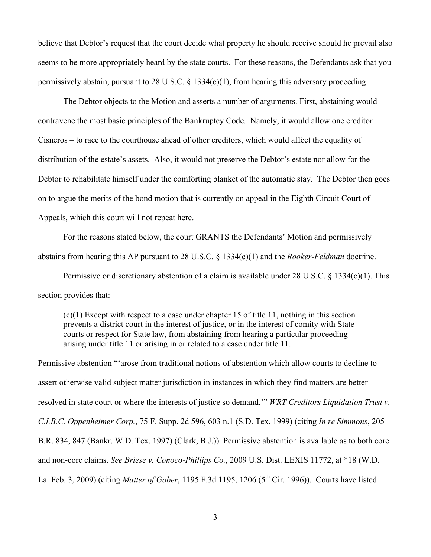believe that Debtor's request that the court decide what property he should receive should he prevail also seems to be more appropriately heard by the state courts. For these reasons, the Defendants ask that you permissively abstain, pursuant to 28 U.S.C. § 1334(c)(1), from hearing this adversary proceeding.

The Debtor objects to the Motion and asserts a number of arguments. First, abstaining would contravene the most basic principles of the Bankruptcy Code. Namely, it would allow one creditor – Cisneros – to race to the courthouse ahead of other creditors, which would affect the equality of distribution of the estate's assets. Also, it would not preserve the Debtor's estate nor allow for the Debtor to rehabilitate himself under the comforting blanket of the automatic stay. The Debtor then goes on to argue the merits of the bond motion that is currently on appeal in the Eighth Circuit Court of Appeals, which this court will not repeat here.

For the reasons stated below, the court GRANTS the Defendants' Motion and permissively abstains from hearing this AP pursuant to 28 U.S.C. § 1334(c)(1) and the *Rooker-Feldman* doctrine.

Permissive or discretionary abstention of a claim is available under 28 U.S.C. § 1334(c)(1). This section provides that:

(c)(1) Except with respect to a case under chapter 15 of title 11, nothing in this section prevents a district court in the interest of justice, or in the interest of comity with State courts or respect for State law, from abstaining from hearing a particular proceeding arising under title 11 or arising in or related to a case under title 11.

Permissive abstention "'arose from traditional notions of abstention which allow courts to decline to assert otherwise valid subject matter jurisdiction in instances in which they find matters are better resolved in state court or where the interests of justice so demand.'" *WRT Creditors Liquidation Trust v. C.I.B.C. Oppenheimer Corp.*, 75 F. Supp. 2d 596, 603 n.1 (S.D. Tex. 1999) (citing *In re Simmons*, 205 B.R. 834, 847 (Bankr. W.D. Tex. 1997) (Clark, B.J.)) Permissive abstention is available as to both core and non-core claims. *See Briese v. Conoco-Phillips Co.*, 2009 U.S. Dist. LEXIS 11772, at \*18 (W.D. La. Feb. 3, 2009) (citing *Matter of Gober*, 1195 F.3d 1195, 1206 (5<sup>th</sup> Cir. 1996)). Courts have listed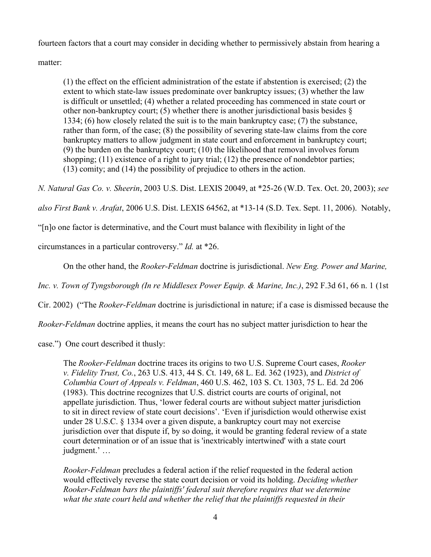fourteen factors that a court may consider in deciding whether to permissively abstain from hearing a

matter:

(1) the effect on the efficient administration of the estate if abstention is exercised; (2) the extent to which state-law issues predominate over bankruptcy issues; (3) whether the law is difficult or unsettled; (4) whether a related proceeding has commenced in state court or other non-bankruptcy court; (5) whether there is another jurisdictional basis besides  $\delta$ 1334; (6) how closely related the suit is to the main bankruptcy case; (7) the substance, rather than form, of the case; (8) the possibility of severing state-law claims from the core bankruptcy matters to allow judgment in state court and enforcement in bankruptcy court; (9) the burden on the bankruptcy court; (10) the likelihood that removal involves forum shopping; (11) existence of a right to jury trial; (12) the presence of nondebtor parties; (13) comity; and (14) the possibility of prejudice to others in the action.

*N. Natural Gas Co. v. Sheerin*, 2003 U.S. Dist. LEXIS 20049, at \*25-26 (W.D. Tex. Oct. 20, 2003); *see* 

*also First Bank v. Arafat*, 2006 U.S. Dist. LEXIS 64562, at \*13-14 (S.D. Tex. Sept. 11, 2006). Notably,

"[n]o one factor is determinative, and the Court must balance with flexibility in light of the

circumstances in a particular controversy." *Id.* at \*26.

On the other hand, the *Rooker-Feldman* doctrine is jurisdictional. *New Eng. Power and Marine,* 

*Inc. v. Town of Tyngsborough (In re Middlesex Power Equip. & Marine, Inc.)*, 292 F.3d 61, 66 n. 1 (1st

Cir. 2002) ("The *Rooker-Feldman* doctrine is jurisdictional in nature; if a case is dismissed because the

*Rooker-Feldman* doctrine applies, it means the court has no subject matter jurisdiction to hear the

case.") One court described it thusly:

The *Rooker-Feldman* doctrine traces its origins to two U.S. Supreme Court cases, *Rooker v. Fidelity Trust, Co.*, 263 U.S. 413, 44 S. Ct. 149, 68 L. Ed. 362 (1923), and *District of Columbia Court of Appeals v. Feldman*, 460 U.S. 462, 103 S. Ct. 1303, 75 L. Ed. 2d 206 (1983). This doctrine recognizes that U.S. district courts are courts of original, not appellate jurisdiction. Thus, 'lower federal courts are without subject matter jurisdiction to sit in direct review of state court decisions'. 'Even if jurisdiction would otherwise exist under 28 U.S.C. § 1334 over a given dispute, a bankruptcy court may not exercise jurisdiction over that dispute if, by so doing, it would be granting federal review of a state court determination or of an issue that is 'inextricably intertwined' with a state court judgment.' …

*Rooker-Feldman* precludes a federal action if the relief requested in the federal action would effectively reverse the state court decision or void its holding. *Deciding whether Rooker-Feldman bars the plaintiffs' federal suit therefore requires that we determine what the state court held and whether the relief that the plaintiffs requested in their*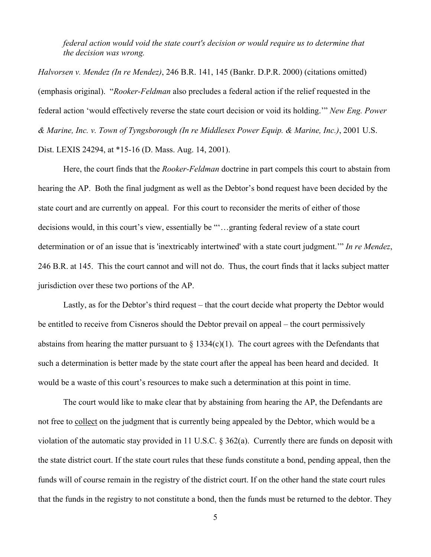*federal action would void the state court's decision or would require us to determine that the decision was wrong.*

*Halvorsen v. Mendez (In re Mendez)*, 246 B.R. 141, 145 (Bankr. D.P.R. 2000) (citations omitted) (emphasis original). "*Rooker-Feldman* also precludes a federal action if the relief requested in the federal action 'would effectively reverse the state court decision or void its holding.'" *New Eng. Power & Marine, Inc. v. Town of Tyngsborough (In re Middlesex Power Equip. & Marine, Inc.)*, 2001 U.S. Dist. LEXIS 24294, at \*15-16 (D. Mass. Aug. 14, 2001).

Here, the court finds that the *Rooker-Feldman* doctrine in part compels this court to abstain from hearing the AP. Both the final judgment as well as the Debtor's bond request have been decided by the state court and are currently on appeal. For this court to reconsider the merits of either of those decisions would, in this court's view, essentially be "'…granting federal review of a state court determination or of an issue that is 'inextricably intertwined' with a state court judgment.'" *In re Mendez*, 246 B.R. at 145. This the court cannot and will not do. Thus, the court finds that it lacks subject matter jurisdiction over these two portions of the AP.

Lastly, as for the Debtor's third request – that the court decide what property the Debtor would be entitled to receive from Cisneros should the Debtor prevail on appeal – the court permissively abstains from hearing the matter pursuant to  $\S$  1334(c)(1). The court agrees with the Defendants that such a determination is better made by the state court after the appeal has been heard and decided. It would be a waste of this court's resources to make such a determination at this point in time.

The court would like to make clear that by abstaining from hearing the AP, the Defendants are not free to collect on the judgment that is currently being appealed by the Debtor, which would be a violation of the automatic stay provided in 11 U.S.C. § 362(a). Currently there are funds on deposit with the state district court. If the state court rules that these funds constitute a bond, pending appeal, then the funds will of course remain in the registry of the district court. If on the other hand the state court rules that the funds in the registry to not constitute a bond, then the funds must be returned to the debtor. They